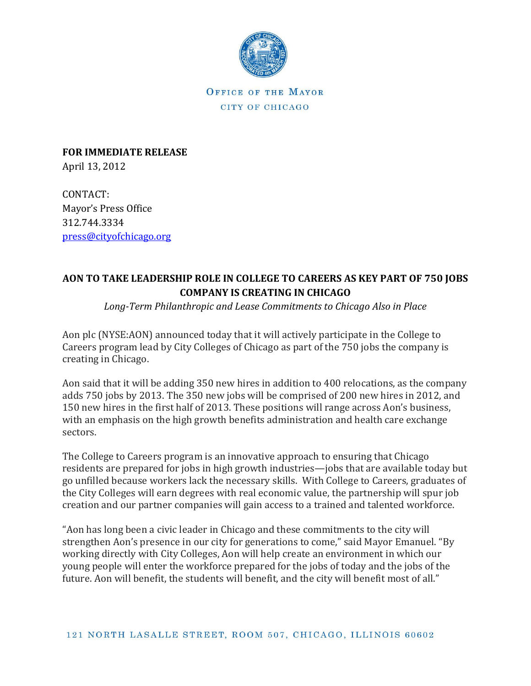

OFFICE OF THE MAYOR CITY OF CHICAGO

**FOR IMMEDIATE RELEASE** April 13, 2012

CONTACT: Mayor's Press Office 312.744.3334 [press@cityofchicago.org](mailto:press@cityofchicago.org)

## **AON TO TAKE LEADERSHIP ROLE IN COLLEGE TO CAREERS AS KEY PART OF 750 JOBS COMPANY IS CREATING IN CHICAGO**

*Long-Term Philanthropic and Lease Commitments to Chicago Also in Place*

Aon plc (NYSE:AON) announced today that it will actively participate in the College to Careers program lead by City Colleges of Chicago as part of the 750 jobs the company is creating in Chicago.

Aon said that it will be adding 350 new hires in addition to 400 relocations, as the company adds 750 jobs by 2013. The 350 new jobs will be comprised of 200 new hires in 2012, and 150 new hires in the first half of 2013. These positions will range across Aon's business, with an emphasis on the high growth benefits administration and health care exchange sectors.

The College to Careers program is an innovative approach to ensuring that Chicago residents are prepared for jobs in high growth industries—jobs that are available today but go unfilled because workers lack the necessary skills. With College to Careers, graduates of the City Colleges will earn degrees with real economic value, the partnership will spur job creation and our partner companies will gain access to a trained and talented workforce.

"Aon has long been a civic leader in Chicago and these commitments to the city will strengthen Aon's presence in our city for generations to come," said Mayor Emanuel. "By working directly with City Colleges, Aon will help create an environment in which our young people will enter the workforce prepared for the jobs of today and the jobs of the future. Aon will benefit, the students will benefit, and the city will benefit most of all."